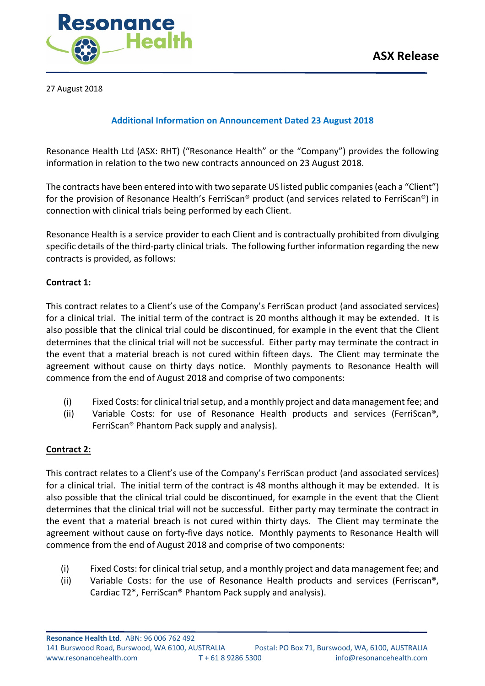

27 August 2018

## **Additional Information on Announcement Dated 23 August 2018**

Resonance Health Ltd (ASX: RHT) ("Resonance Health" or the "Company") provides the following information in relation to the two new contracts announced on 23 August 2018.

The contracts have been entered into with two separate US listed public companies(each a "Client") for the provision of Resonance Health's FerriScan® product (and services related to FerriScan®) in connection with clinical trials being performed by each Client.

Resonance Health is a service provider to each Client and is contractually prohibited from divulging specific details of the third-party clinical trials. The following further information regarding the new contracts is provided, as follows:

## **Contract 1:**

This contract relates to a Client's use of the Company's FerriScan product (and associated services) for a clinical trial. The initial term of the contract is 20 months although it may be extended. It is also possible that the clinical trial could be discontinued, for example in the event that the Client determines that the clinical trial will not be successful. Either party may terminate the contract in the event that a material breach is not cured within fifteen days. The Client may terminate the agreement without cause on thirty days notice. Monthly payments to Resonance Health will commence from the end of August 2018 and comprise of two components:

- (i) Fixed Costs: for clinical trial setup, and a monthly project and data management fee; and
- (ii) Variable Costs: for use of Resonance Health products and services (FerriScan®, FerriScan® Phantom Pack supply and analysis).

## **Contract 2:**

This contract relates to a Client's use of the Company's FerriScan product (and associated services) for a clinical trial. The initial term of the contract is 48 months although it may be extended. It is also possible that the clinical trial could be discontinued, for example in the event that the Client determines that the clinical trial will not be successful. Either party may terminate the contract in the event that a material breach is not cured within thirty days. The Client may terminate the agreement without cause on forty-five days notice. Monthly payments to Resonance Health will commence from the end of August 2018 and comprise of two components:

- (i) Fixed Costs: for clinical trial setup, and a monthly project and data management fee; and
- (ii) Variable Costs: for the use of Resonance Health products and services (Ferriscan®, Cardiac T2\*, FerriScan® Phantom Pack supply and analysis).